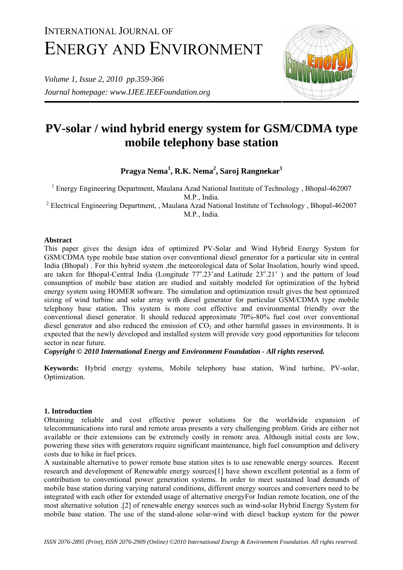# INTERNATIONAL JOURNAL OF ENERGY AND ENVIRONMENT

*Volume 1, Issue 2, 2010 pp.359-366 Journal homepage: www.IJEE.IEEFoundation.org* 



# **PV-solar / wind hybrid energy system for GSM/CDMA type mobile telephony base station**

**Pragya Nema1 , R.K. Nema<sup>2</sup> , Saroj Rangnekar1**

<sup>1</sup> Energy Engineering Department, Maulana Azad National Institute of Technology, Bhopal-462007 M.P., India.

<sup>2</sup> Electrical Engineering Department, , Maulana Azad National Institute of Technology, Bhopal-462007 M.P., India.

### **Abstract**

This paper gives the design idea of optimized PV-Solar and Wind Hybrid Energy System for GSM/CDMA type mobile base station over conventional diesel generator for a particular site in central India (Bhopal) . For this hybrid system ,the meteorological data of Solar Insolation, hourly wind speed, are taken for Bhopal-Central India (Longitude 77° 23' and Latitude 23° 21') and the pattern of load consumption of mobile base station are studied and suitably modeled for optimization of the hybrid energy system using HOMER software. The simulation and optimization result gives the best optimized sizing of wind turbine and solar array with diesel generator for particular GSM/CDMA type mobile telephony base station. This system is more cost effective and environmental friendly over the conventional diesel generator. It should reduced approximate 70%-80% fuel cost over conventional diesel generator and also reduced the emission of  $CO<sub>2</sub>$  and other harmful gasses in environments. It is expected that the newly developed and installed system will provide very good opportunities for telecom sector in near future.

*Copyright © 2010 International Energy and Environment Foundation - All rights reserved.*

**Keywords:** Hybrid energy systems, Mobile telephony base station, Wind turbine, PV-solar, Optimization.

## **1. Introduction**

Obtaining reliable and cost effective power solutions for the worldwide expansion of telecommunications into rural and remote areas presents a very challenging problem. Grids are either not available or their extensions can be extremely costly in remote area. Although initial costs are low, powering these sites with generators require significant maintenance, high fuel consumption and delivery costs due to hike in fuel prices.

A sustainable alternative to power remote base station sites is to use renewable energy sources. Recent research and development of Renewable energy sources[1] have shown excellent potential as a form of contribution to conventional power generation systems. In order to meet sustained load demands of mobile base station during varying natural conditions, different energy sources and converters need to be integrated with each other for extended usage of alternative energyFor Indian remote location, one of the most alternative solution .[2] of renewable energy sources such as wind-solar Hybrid Energy System for mobile base station. The use of the stand-alone solar-wind with diesel backup system for the power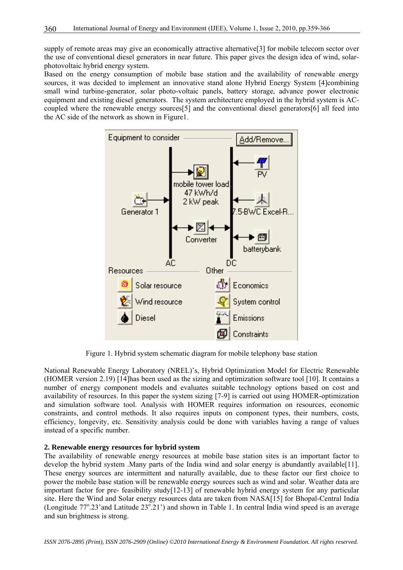supply of remote areas may give an economically attractive alternative[3] for mobile telecom sector over the use of conventional diesel generators in near future. This paper gives the design idea of wind, solarphotovoltaic hybrid energy system.

Based on the energy consumption of mobile base station and the availability of renewable energy sources, it was decided to implement an innovative stand alone Hybrid Energy System [4]combining small wind turbine-generator, solar photo-voltaic panels, battery storage, advance power electronic equipment and existing diesel generators. The system architecture employed in the hybrid system is ACcoupled where the renewable energy sources[5] and the conventional diesel generators[6] all feed into the AC side of the network as shown in Figure1.



Figure 1. Hybrid system schematic diagram for mobile telephony base station

National Renewable Energy Laboratory (NREL)'s, Hybrid Optimization Model for Electric Renewable (HOMER version 2.19) [14]has been used as the sizing and optimization software tool [10]. It contains a number of energy component models and evaluates suitable technology options based on cost and availability of resources. In this paper the system sizing [7-9] is carried out using HOMER-optimization and simulation software tool. Analysis with HOMER requires information on resources, economic constraints, and control methods. It also requires inputs on component types, their numbers, costs, efficiency, longevity, etc. Sensitivity analysis could be done with variables having a range of values instead of a specific number.

#### **2. Renewable energy resources for hybrid system**

The availability of renewable energy resources at mobile base station sites is an important factor to develop the hybrid system .Many parts of the India wind and solar energy is abundantly available[11]. These energy sources are intermittent and naturally available, due to these factor our first choice to power the mobile base station will be renewable energy sources such as wind and solar. Weather data are important factor for pre- feasibility study[12-13] of renewable hybrid energy system for any particular site. Here the Wind and Solar energy resources data are taken from NASA[15] for Bhopal-Central India (Longitude  $77^{\circ}$ .23'and Latitude  $23^{\circ}$ .21') and shown in Table 1. In central India wind speed is an average and sun brightness is strong.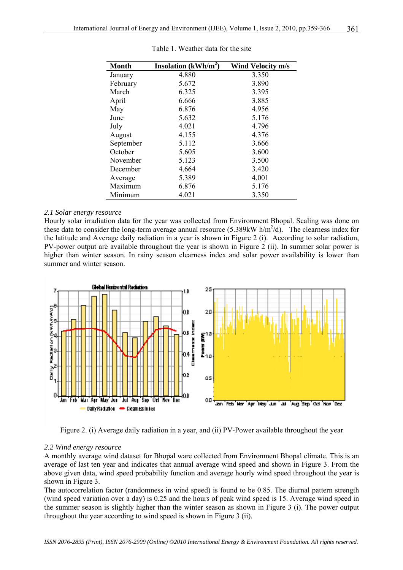| Month     | Insolation $(kWh/m^2)$ | Wind Velocity m/s |  |  |
|-----------|------------------------|-------------------|--|--|
| January   | 4.880                  | 3.350             |  |  |
| February  | 5.672                  | 3.890             |  |  |
| March     | 6.325                  | 3.395             |  |  |
| April     | 6.666                  | 3.885             |  |  |
| May       | 6.876                  | 4.956             |  |  |
| June      | 5.632                  | 5.176             |  |  |
| July      | 4.021                  | 4.796             |  |  |
| August    | 4.155                  | 4.376             |  |  |
| September | 5.112                  | 3.666             |  |  |
| October   | 5.605                  | 3.600             |  |  |
| November  | 5.123                  | 3.500             |  |  |
| December  | 4.664                  | 3.420             |  |  |
| Average   | 5.389                  | 4.001             |  |  |
| Maximum   | 6.876                  | 5.176             |  |  |
| Minimum   | 4.021                  | 3.350             |  |  |

Table 1. Weather data for the site

#### *2.1 Solar energy resource*

Hourly solar irradiation data for the year was collected from Environment Bhopal. Scaling was done on these data to consider the long-term average annual resource  $(5.389 \text{kW h/m}^2/\text{d})$ . The clearness index for the latitude and Average daily radiation in a year is shown in Figure 2 (i). According to solar radiation, PV-power output are available throughout the year is shown in Figure 2 (ii). In summer solar power is higher than winter season. In rainy season clearness index and solar power availability is lower than summer and winter season.



Figure 2. (i) Average daily radiation in a year, and (ii) PV-Power available throughout the year

#### *2.2 Wind energy resource*

A monthly average wind dataset for Bhopal ware collected from Environment Bhopal climate. This is an average of last ten year and indicates that annual average wind speed and shown in Figure 3. From the above given data, wind speed probability function and average hourly wind speed throughout the year is shown in Figure 3.

The autocorrelation factor (randomness in wind speed) is found to be 0.85. The diurnal pattern strength (wind speed variation over a day) is 0.25 and the hours of peak wind speed is 15. Average wind speed in the summer season is slightly higher than the winter season as shown in Figure 3 (i). The power output throughout the year according to wind speed is shown in Figure 3 (ii).

*ISSN 2076-2895 (Print), ISSN 2076-2909 (Online) ©2010 International Energy & Environment Foundation. All rights reserved.*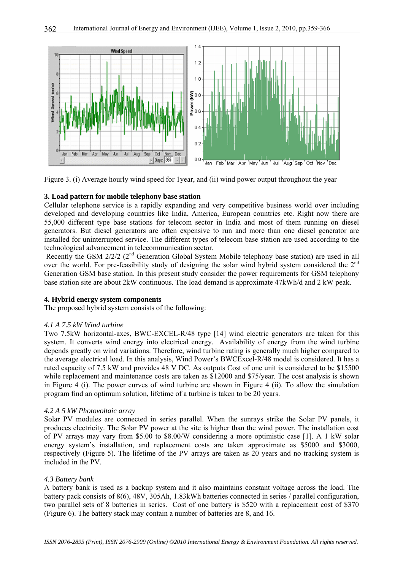

Figure 3. (i) Average hourly wind speed for 1year, and (ii) wind power output throughout the year

#### **3. Load pattern for mobile telephony base station**

Cellular telephone service is a rapidly expanding and very competitive business world over including developed and developing countries like India, America, European countries etc. Right now there are 55,000 different type base stations for telecom sector in India and most of them running on diesel generators. But diesel generators are often expensive to run and more than one diesel generator are installed for uninterrupted service. The different types of telecom base station are used according to the technological advancement in telecommunication sector.

Recently the GSM 2/2/2 (2<sup>nd</sup> Generation Global System Mobile telephony base station) are used in all over the world. For pre-feasibility study of designing the solar wind hybrid system considered the 2<sup>nd</sup> Generation GSM base station. In this present study consider the power requirements for GSM telephony base station site are about 2kW continuous. The load demand is approximate 47kWh/d and 2 kW peak.

#### **4. Hybrid energy system components**

The proposed hybrid system consists of the following:

#### *4.1 A 7.5 kW Wind turbine*

Two 7.5kW horizontal-axes, BWC-EXCEL-R/48 type [14] wind electric generators are taken for this system. It converts wind energy into electrical energy. Availability of energy from the wind turbine depends greatly on wind variations. Therefore, wind turbine rating is generally much higher compared to the average electrical load. In this analysis, Wind Power's BWCExcel-R/48 model is considered. It has a rated capacity of 7.5 kW and provides 48 V DC. As outputs Cost of one unit is considered to be \$15500 while replacement and maintenance costs are taken as \$12000 and \$75/year. The cost analysis is shown in Figure 4 (i). The power curves of wind turbine are shown in Figure 4 (ii). To allow the simulation program find an optimum solution, lifetime of a turbine is taken to be 20 years.

#### *4.2 A 5 kW Photovoltaic array*

Solar PV modules are connected in series parallel. When the sunrays strike the Solar PV panels, it produces electricity. The Solar PV power at the site is higher than the wind power. The installation cost of PV arrays may vary from \$5.00 to \$8.00/W considering a more optimistic case [1]. A 1 kW solar energy system's installation, and replacement costs are taken approximate as \$5000 and \$3000, respectively (Figure 5). The lifetime of the PV arrays are taken as 20 years and no tracking system is included in the PV.

#### *4.3 Battery bank*

A battery bank is used as a backup system and it also maintains constant voltage across the load. The battery pack consists of 8(6), 48V, 305Ah, 1.83kWh batteries connected in series / parallel configuration, two parallel sets of 8 batteries in series. Cost of one battery is \$520 with a replacement cost of \$370 (Figure 6). The battery stack may contain a number of batteries are 8, and 16.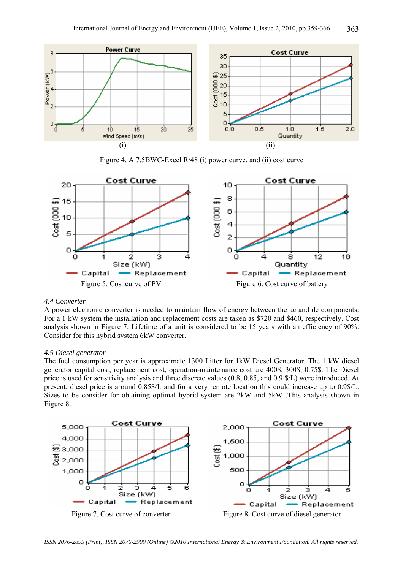

Figure 4. A 7.5BWC-Excel R/48 (i) power curve, and (ii) cost curve



#### *4.4 Converter*

A power electronic converter is needed to maintain flow of energy between the ac and dc components. For a 1 kW system the installation and replacement costs are taken as \$720 and \$460, respectively. Cost analysis shown in Figure 7. Lifetime of a unit is considered to be 15 years with an efficiency of 90%. Consider for this hybrid system 6kW converter.

#### *4.5 Diesel generator*

The fuel consumption per year is approximate 1300 Litter for 1kW Diesel Generator. The 1 kW diesel generator capital cost, replacement cost, operation-maintenance cost are 400\$, 300\$, 0.75\$. The Diesel price is used for sensitivity analysis and three discrete values (0.8, 0.85, and 0.9 \$/L) were introduced. At present, diesel price is around 0.85\$/L and for a very remote location this could increase up to 0.9\$/L. Sizes to be consider for obtaining optimal hybrid system are 2kW and 5kW .This analysis shown in Figure 8.



*ISSN 2076-2895 (Print), ISSN 2076-2909 (Online) ©2010 International Energy & Environment Foundation. All rights reserved.*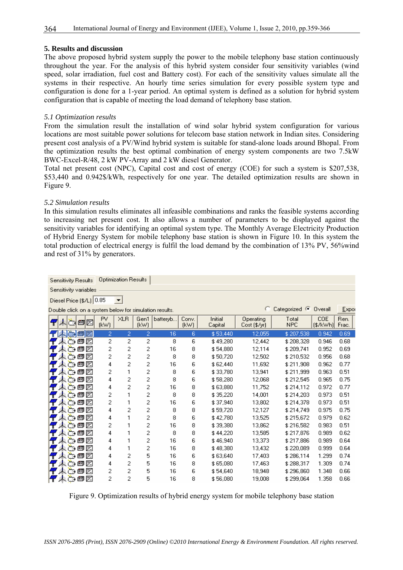#### **5. Results and discussion**

The above proposed hybrid system supply the power to the mobile telephony base station continuously throughout the year. For the analysis of this hybrid system consider four sensitivity variables (wind speed, solar irradiation, fuel cost and Battery cost). For each of the sensitivity values simulate all the systems in their respective. An hourly time series simulation for every possible system type and configuration is done for a 1-year period. An optimal system is defined as a solution for hybrid system configuration that is capable of meeting the load demand of telephony base station.

#### *5.1 Optimization results*

From the simulation result the installation of wind solar hybrid system configuration for various locations are most suitable power solutions for telecom base station network in Indian sites. Considering present cost analysis of a PV/Wind hybrid system is suitable for stand-alone loads around Bhopal. From the optimization results the best optimal combination of energy system components are two 7.5kW BWC-Excel-R/48, 2 kW PV-Array and 2 kW diesel Generator.

Total net present cost (NPC), Capital cost and cost of energy (COE) for such a system is \$207,538, \$53,440 and 0.942\$/kWh, respectively for one year. The detailed optimization results are shown in Figure 9.

#### *5.2 Simulation results*

In this simulation results eliminates all infeasible combinations and ranks the feasible systems according to increasing net present cost. It also allows a number of parameters to be displayed against the sensitivity variables for identifying an optimal system type. The Monthly Average Electricity Production of Hybrid Energy System for mobile telephony base station is shown in Figure 10. In this system the total production of electrical energy is fulfil the load demand by the combination of 13% PV, 56%wind and rest of 31% by generators.

| <b>Sensitivity Results</b>                             | <b>Optimization Results</b> |                |              |          |               |                    |                           |                          |                  |               |  |  |  |
|--------------------------------------------------------|-----------------------------|----------------|--------------|----------|---------------|--------------------|---------------------------|--------------------------|------------------|---------------|--|--|--|
| Sensitivity variables                                  |                             |                |              |          |               |                    |                           |                          |                  |               |  |  |  |
| Diesel Price (\$/L) 0.85<br>▼                          |                             |                |              |          |               |                    |                           |                          |                  |               |  |  |  |
| Double click on a system below for simulation results. |                             |                |              |          |               |                    |                           | Categorized $\mathbb{C}$ | Overall          | Expor         |  |  |  |
| 内向内<br>q                                               | PV.<br>(kW)                 | <b>XLR</b>     | Gen1<br>[kW] | batteryb | Conv.<br>(kW) | Initial<br>Capital | Operating<br>Cost (\$/yr) | Total<br><b>NPC</b>      | COE<br>[\$/kWh]] | Ren.<br>Frac. |  |  |  |
| Ø<br>tage                                              | 2.                          | $\overline{2}$ | 2            | 16       | 6             | \$53,440           | 12,055                    | \$207,538                | 0.942            | 0.69          |  |  |  |
| 東西国区                                                   | 2                           | 2              | 2            | 8        | 6             | \$49,280           | 12,442                    | \$208,328                | 0.946            | 0.68          |  |  |  |
| 東西国<br>∞                                               | 2                           | 2              | 2            | 16       | 8             | \$54,880           | 12,114                    | \$209,741                | 0.952            | 0.69          |  |  |  |
| 東西田区<br>4                                              | 2                           | 2              | 2            | 8        | 8             | \$50,720           | 12,502                    | \$210,532                | 0.956            | 0.68          |  |  |  |
| 東西西区                                                   | 4                           | 2              | 2            | 16       | 6             | \$62,440           | 11,692                    | \$211,908                | 0.962            | 0.77          |  |  |  |
| 東西西区                                                   | 2                           | 1              | 2            | 8        | 6             | \$33,780           | 13,941                    | \$211.999                | 0.963            | 0.51          |  |  |  |
| 東西国区                                                   | 4                           | 2              | 2            | 8        | 6             | \$58,280           | 12,068                    | \$212,545                | 0.965            | 0.75          |  |  |  |
| 東西国<br>Z                                               | 4                           | 2              | 2            | 16       | 8             | \$63,880           | 11,752                    | \$214,112                | 0.972            | 0.77          |  |  |  |
| 東西国区                                                   | 2                           | 1              | 2            | 8        | 8             | \$35,220           | 14,001                    | \$214,203                | 0.973            | 0.51          |  |  |  |
| 東西西区                                                   | 2                           | 1              | 2            | 16       | 6             | \$37,940           | 13,802                    | \$214,378                | 0.973            | 0.51          |  |  |  |
| 東西国区                                                   | 4                           | 2              | 2            | 8        | 8             | \$59,720           | 12,127                    | \$214,749                | 0.975            | 0.75          |  |  |  |
| 東西国区<br>47                                             | 4                           | 1              | 2            | 8        | 6             | \$42,780           | 13,525                    | \$215,672                | 0.979            | 0.62          |  |  |  |
| 東西西区                                                   | 2                           | 1              | 2            | 16       | 8             | \$39,380           | 13,862                    | \$216,582                | 0.983            | 0.51          |  |  |  |
| 点心包区                                                   | 4                           | 1              | 2            | 8        | 8             | \$44,220           | 13,585                    | \$217,876                | 0.989            | 0.62          |  |  |  |
| 東西国<br>z                                               | 4                           | 1              | 2            | 16       | 6             | \$46,940           | 13,373                    | \$217,886                | 0.989            | 0.64          |  |  |  |
| 東西国<br>z                                               | 4                           | 1              | 2            | 16       | 8             | \$48,380           | 13,432                    | \$220,089                | 0.999            | 0.64          |  |  |  |
| 東西西区                                                   | 4                           | 2              | 5            | 16       | 6             | \$63,640           | 17,403                    | \$286,114                | 1.299            | 0.74          |  |  |  |
| 東西<br>鱼<br>Z                                           | 4                           | 2              | 5            | 16       | 8             | \$65,080           | 17,463                    | \$288.317                | 1.309            | 0.74          |  |  |  |
| 東西<br>∞<br>ฅ                                           | 2                           | 2              | 5            | 16       | 6             | \$54,640           | 18,948                    | \$296,860                | 1.348            | 0.66          |  |  |  |
| 東西国<br>f<br>ℤ                                          | 2                           | 2              | 5            | 16       | 8             | \$56,080           | 19,008                    | \$299,064                | 1.358            | 0.66          |  |  |  |

Figure 9. Optimization results of hybrid energy system for mobile telephony base station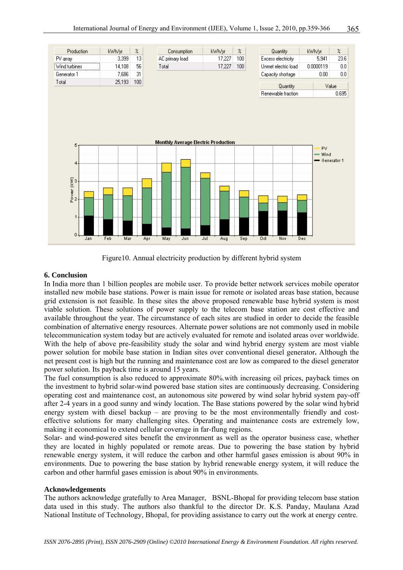

Figure10. Annual electricity production by different hybrid system

#### **6. Conclusion**

In India more than 1 billion peoples are mobile user. To provide better network services mobile operator installed new mobile base stations. Power is main issue for remote or isolated areas base station, because grid extension is not feasible. In these sites the above proposed renewable base hybrid system is most viable solution. These solutions of power supply to the telecom base station are cost effective and available throughout the year. The circumstance of each sites are studied in order to decide the feasible combination of alternative energy resources. Alternate power solutions are not commonly used in mobile telecommunication system today but are actively evaluated for remote and isolated areas over worldwide. With the help of above pre-feasibility study the solar and wind hybrid energy system are most viable power solution for mobile base station in Indian sites over conventional diesel generator**.** Although the net present cost is high but the running and maintenance cost are low as compared to the diesel generator power solution. Its payback time is around 15 years.

The fuel consumption is also reduced to approximate 80%.with increasing oil prices, payback times on the investment to hybrid solar-wind powered base station sites are continuously decreasing. Considering operating cost and maintenance cost, an autonomous site powered by wind solar hybrid system pay-off after 2-4 years in a good sunny and windy location. The Base stations powered by the solar wind hybrid energy system with diesel backup – are proving to be the most environmentally friendly and costeffective solutions for many challenging sites. Operating and maintenance costs are extremely low, making it economical to extend cellular coverage in far-flung regions.

Solar- and wind-powered sites benefit the environment as well as the operator business case, whether they are located in highly populated or remote areas. Due to powering the base station by hybrid renewable energy system, it will reduce the carbon and other harmful gases emission is about 90% in environments. Due to powering the base station by hybrid renewable energy system, it will reduce the carbon and other harmful gases emission is about 90% in environments.

#### **Acknowledgements**

The authors acknowledge gratefully to Area Manager, BSNL-Bhopal for providing telecom base station data used in this study. The authors also thankful to the director Dr. K.S. Panday, Maulana Azad National Institute of Technology, Bhopal, for providing assistance to carry out the work at energy centre.